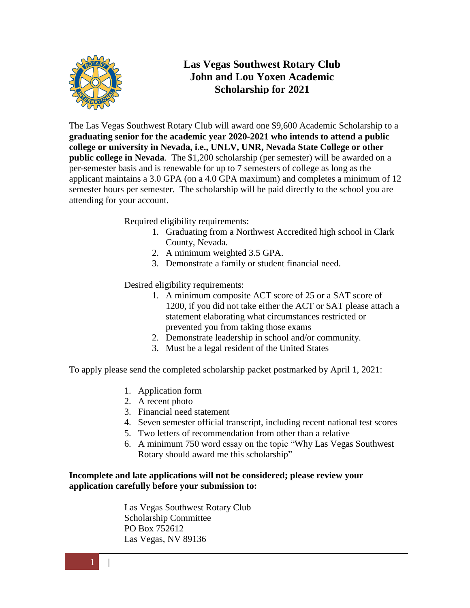

The Las Vegas Southwest Rotary Club will award one \$9,600 Academic Scholarship to a **graduating senior for the academic year 2020-2021 who intends to attend a public college or university in Nevada, i.e., UNLV, UNR, Nevada State College or other public college in Nevada**. The \$1,200 scholarship (per semester) will be awarded on a per-semester basis and is renewable for up to 7 semesters of college as long as the applicant maintains a 3.0 GPA (on a 4.0 GPA maximum) and completes a minimum of 12 semester hours per semester. The scholarship will be paid directly to the school you are attending for your account.

Required eligibility requirements:

- 1. Graduating from a Northwest Accredited high school in Clark County, Nevada.
- 2. A minimum weighted 3.5 GPA.
- 3. Demonstrate a family or student financial need.

Desired eligibility requirements:

- 1. A minimum composite ACT score of 25 or a SAT score of 1200, if you did not take either the ACT or SAT please attach a statement elaborating what circumstances restricted or prevented you from taking those exams
- 2. Demonstrate leadership in school and/or community.
- 3. Must be a legal resident of the United States

To apply please send the completed scholarship packet postmarked by April 1, 2021:

- 1. Application form
- 2. A recent photo
- 3. Financial need statement
- 4. Seven semester official transcript, including recent national test scores
- 5. Two letters of recommendation from other than a relative
- 6. A minimum 750 word essay on the topic "Why Las Vegas Southwest Rotary should award me this scholarship"

#### **Incomplete and late applications will not be considered; please review your application carefully before your submission to:**

Las Vegas Southwest Rotary Club Scholarship Committee PO Box 752612 Las Vegas, NV 89136

 $1 \mid \cdot \mid$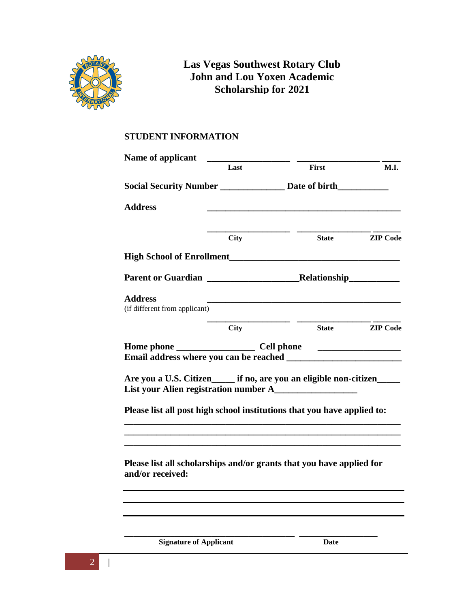

#### **STUDENT INFORMATION**

| Name of applicant                                                                                               |                                                              |                                                                                           |                 |  |
|-----------------------------------------------------------------------------------------------------------------|--------------------------------------------------------------|-------------------------------------------------------------------------------------------|-----------------|--|
|                                                                                                                 | Last                                                         | First                                                                                     | <b>M.I.</b>     |  |
|                                                                                                                 | Social Security Number _____________ Date of birth__________ |                                                                                           |                 |  |
| <b>Address</b>                                                                                                  |                                                              |                                                                                           |                 |  |
|                                                                                                                 | <b>City</b>                                                  | <b>State</b>                                                                              | <b>ZIP</b> Code |  |
|                                                                                                                 |                                                              |                                                                                           |                 |  |
|                                                                                                                 |                                                              |                                                                                           |                 |  |
| <b>Address</b><br>(if different from applicant)                                                                 |                                                              | the control of the control of the control of the control of the control of the control of |                 |  |
|                                                                                                                 | <b>City</b>                                                  | <b>State</b>                                                                              | <b>ZIP</b> Code |  |
|                                                                                                                 |                                                              |                                                                                           |                 |  |
| Are you a U.S. Citizen_____ if no, are you an eligible non-citizen____<br>List your Alien registration number A |                                                              |                                                                                           |                 |  |
| Please list all post high school institutions that you have applied to:                                         |                                                              |                                                                                           |                 |  |
|                                                                                                                 |                                                              |                                                                                           |                 |  |
| Please list all scholarships and/or grants that you have applied for<br>and/or received:                        |                                                              |                                                                                           |                 |  |
|                                                                                                                 |                                                              |                                                                                           |                 |  |
|                                                                                                                 |                                                              |                                                                                           |                 |  |
|                                                                                                                 |                                                              |                                                                                           |                 |  |

**<u>Signature of Applicant</u>** Date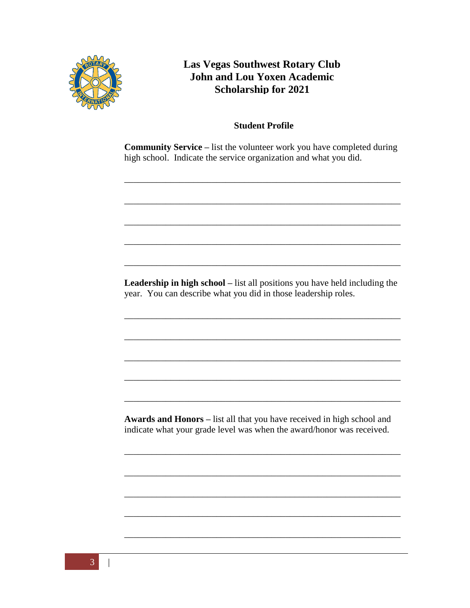

#### **Student Profile**

**Community Service –** list the volunteer work you have completed during high school. Indicate the service organization and what you did.

\_\_\_\_\_\_\_\_\_\_\_\_\_\_\_\_\_\_\_\_\_\_\_\_\_\_\_\_\_\_\_\_\_\_\_\_\_\_\_\_\_\_\_\_\_\_\_\_\_\_\_\_\_\_\_\_\_\_\_\_

\_\_\_\_\_\_\_\_\_\_\_\_\_\_\_\_\_\_\_\_\_\_\_\_\_\_\_\_\_\_\_\_\_\_\_\_\_\_\_\_\_\_\_\_\_\_\_\_\_\_\_\_\_\_\_\_\_\_\_\_

\_\_\_\_\_\_\_\_\_\_\_\_\_\_\_\_\_\_\_\_\_\_\_\_\_\_\_\_\_\_\_\_\_\_\_\_\_\_\_\_\_\_\_\_\_\_\_\_\_\_\_\_\_\_\_\_\_\_\_\_

\_\_\_\_\_\_\_\_\_\_\_\_\_\_\_\_\_\_\_\_\_\_\_\_\_\_\_\_\_\_\_\_\_\_\_\_\_\_\_\_\_\_\_\_\_\_\_\_\_\_\_\_\_\_\_\_\_\_\_\_

\_\_\_\_\_\_\_\_\_\_\_\_\_\_\_\_\_\_\_\_\_\_\_\_\_\_\_\_\_\_\_\_\_\_\_\_\_\_\_\_\_\_\_\_\_\_\_\_\_\_\_\_\_\_\_\_\_\_\_\_

Leadership in high school – list all positions you have held including the year. You can describe what you did in those leadership roles.

\_\_\_\_\_\_\_\_\_\_\_\_\_\_\_\_\_\_\_\_\_\_\_\_\_\_\_\_\_\_\_\_\_\_\_\_\_\_\_\_\_\_\_\_\_\_\_\_\_\_\_\_\_\_\_\_\_\_\_\_

\_\_\_\_\_\_\_\_\_\_\_\_\_\_\_\_\_\_\_\_\_\_\_\_\_\_\_\_\_\_\_\_\_\_\_\_\_\_\_\_\_\_\_\_\_\_\_\_\_\_\_\_\_\_\_\_\_\_\_\_

\_\_\_\_\_\_\_\_\_\_\_\_\_\_\_\_\_\_\_\_\_\_\_\_\_\_\_\_\_\_\_\_\_\_\_\_\_\_\_\_\_\_\_\_\_\_\_\_\_\_\_\_\_\_\_\_\_\_\_\_

\_\_\_\_\_\_\_\_\_\_\_\_\_\_\_\_\_\_\_\_\_\_\_\_\_\_\_\_\_\_\_\_\_\_\_\_\_\_\_\_\_\_\_\_\_\_\_\_\_\_\_\_\_\_\_\_\_\_\_\_

\_\_\_\_\_\_\_\_\_\_\_\_\_\_\_\_\_\_\_\_\_\_\_\_\_\_\_\_\_\_\_\_\_\_\_\_\_\_\_\_\_\_\_\_\_\_\_\_\_\_\_\_\_\_\_\_\_\_\_\_

**Awards and Honors –** list all that you have received in high school and indicate what your grade level was when the award/honor was received.

\_\_\_\_\_\_\_\_\_\_\_\_\_\_\_\_\_\_\_\_\_\_\_\_\_\_\_\_\_\_\_\_\_\_\_\_\_\_\_\_\_\_\_\_\_\_\_\_\_\_\_\_\_\_\_\_\_\_\_\_

\_\_\_\_\_\_\_\_\_\_\_\_\_\_\_\_\_\_\_\_\_\_\_\_\_\_\_\_\_\_\_\_\_\_\_\_\_\_\_\_\_\_\_\_\_\_\_\_\_\_\_\_\_\_\_\_\_\_\_\_

\_\_\_\_\_\_\_\_\_\_\_\_\_\_\_\_\_\_\_\_\_\_\_\_\_\_\_\_\_\_\_\_\_\_\_\_\_\_\_\_\_\_\_\_\_\_\_\_\_\_\_\_\_\_\_\_\_\_\_\_

\_\_\_\_\_\_\_\_\_\_\_\_\_\_\_\_\_\_\_\_\_\_\_\_\_\_\_\_\_\_\_\_\_\_\_\_\_\_\_\_\_\_\_\_\_\_\_\_\_\_\_\_\_\_\_\_\_\_\_\_

\_\_\_\_\_\_\_\_\_\_\_\_\_\_\_\_\_\_\_\_\_\_\_\_\_\_\_\_\_\_\_\_\_\_\_\_\_\_\_\_\_\_\_\_\_\_\_\_\_\_\_\_\_\_\_\_\_\_\_\_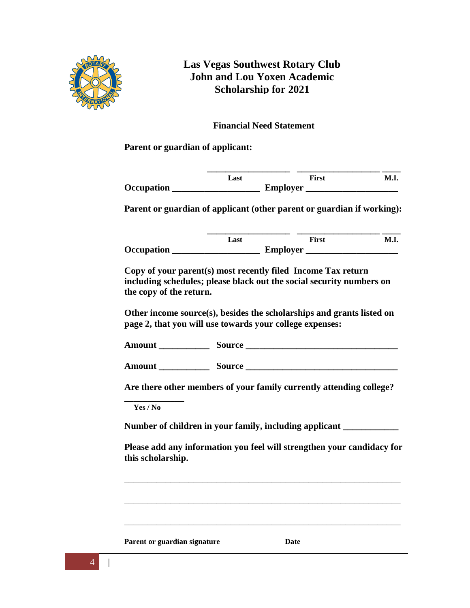

**Financial Need Statement**

**Parent or guardian of applicant:**

|                   | Last | First           | M.I. |
|-------------------|------|-----------------|------|
| <b>Occupation</b> |      | <b>Employer</b> |      |

**Parent or guardian of applicant (other parent or guardian if working):**

|                   | Last | First           | M.I. |
|-------------------|------|-----------------|------|
| <b>Occupation</b> |      | <b>Employer</b> |      |

**Copy of your parent(s) most recently filed Income Tax return including schedules; please black out the social security numbers on the copy of the return.**

**Other income source(s), besides the scholarships and grants listed on page 2, that you will use towards your college expenses:**

Amount Source **Contains a set of the Source** 

**Amount \_\_\_\_\_\_\_\_\_\_\_ Source \_\_\_\_\_\_\_\_\_\_\_\_\_\_\_\_\_\_\_\_\_\_\_\_\_\_\_\_\_\_\_\_\_**

**Are there other members of your family currently attending college?** 

**\_\_\_\_\_\_\_\_\_\_\_\_\_ Yes / No**

**Number of children in your family, including applicant \_\_\_\_\_\_\_\_\_\_\_\_**

**Please add any information you feel will strengthen your candidacy for this scholarship.**

\_\_\_\_\_\_\_\_\_\_\_\_\_\_\_\_\_\_\_\_\_\_\_\_\_\_\_\_\_\_\_\_\_\_\_\_\_\_\_\_\_\_\_\_\_\_\_\_\_\_\_\_\_\_\_\_\_\_\_\_

\_\_\_\_\_\_\_\_\_\_\_\_\_\_\_\_\_\_\_\_\_\_\_\_\_\_\_\_\_\_\_\_\_\_\_\_\_\_\_\_\_\_\_\_\_\_\_\_\_\_\_\_\_\_\_\_\_\_\_\_

\_\_\_\_\_\_\_\_\_\_\_\_\_\_\_\_\_\_\_\_\_\_\_\_\_\_\_\_\_\_\_\_\_\_\_\_\_\_\_\_\_\_\_\_\_\_\_\_\_\_\_\_\_\_\_\_\_\_\_\_

**Parent or guardian signature Date**